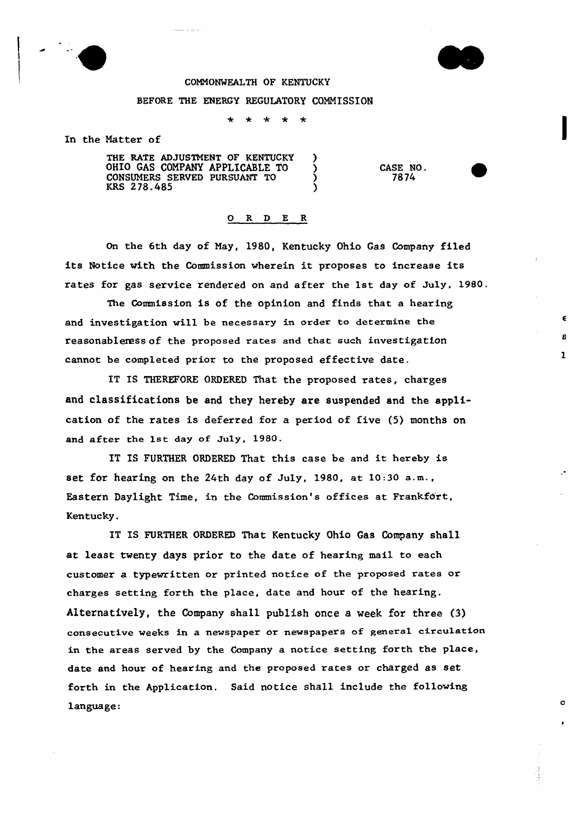



 $\mathbf 1$ 

O

## CONNONMEALTH OF KENTUCKY

## BEFORE THE ENERGY REGULATORY COMMISSION

 $\star$ 

In the Natter of

THE RATE ADJUSTMENT OF KENTUCKY )<br>OHIO GAS COMPANY APPLICABLE TO ) OHIO GAS COMPANY APPLICABLE TO  $\bigcirc$ <br>
CONSUMERS SERVED PURSUANT TO  $\bigcirc$ CONSUMERS SERVED PURSUANT TO  $\overrightarrow{)}$ <br>KRS 278.485 KRS 278.485 )

CASE NO. 7874

## 0 R <sup>D</sup> E R

On the 6th day of May, 1980, Kentucky Ohio Gas Company filed its Notice with the Commission wherein it proposes to increase its rates for gas service rendered on and after the 1st day of July, 1980.

The Commission is of the opinion and finds that a hearing and investigation will be necessary in order to determine the reasonableress of the pxoposed rates and that such investigation cannot be completed prior to the proposed effective date.

IT IS THEREFORE ORDERED That the proposed rates, charges and classifications be and they hereby are suspended and the application of the rates is deferred for a period of five {5) months on and after the 1st day of July, 1980.

IT IS FURTHER ORDERED That this case be and it hereby is set for hearing on the 24th day of July, 1980, at 10:30 a.m., Eastern Daylight Time, in the Commission's offices at Frankfort, Kentucky.

IT IS FURTHER ORDERED That Kentucky Ohio Gas Company shall at least twenty days prior to the date of hearing mail to each customer a typewritten or printed notice of the proposed rates or charges setting forth the place, date and hour of the hearing. Alternatively, the Company shall publish once a week for three (3) consecutive weeks in a newspaper or newspapers of general circulation in the areas served by the Company a notice setting forth the place, date and hour of hearing and the proposed rates or charged as set forth in the Application. Said notice shall include the following language: